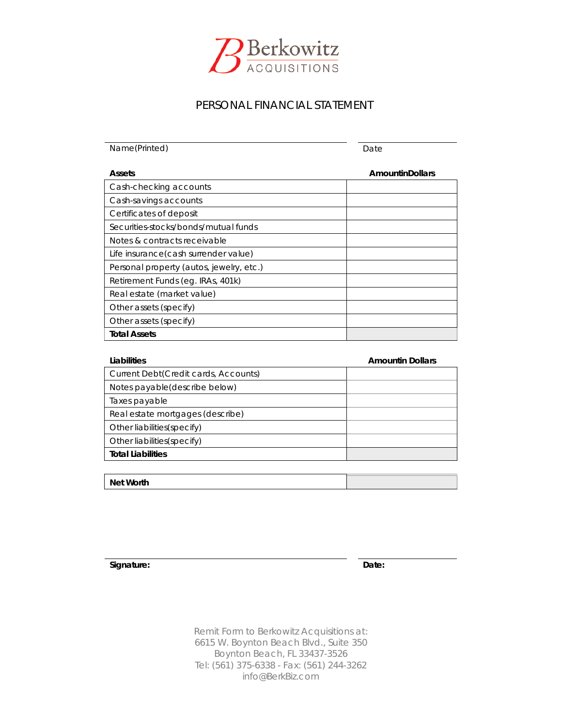

# PERSONAL FINANCIAL STATEMENT

Name(Printed) Date **Assets AmountinDollars** Cash-checking accounts Cash-savings accounts Certificates of deposit Securities-stocks/bonds/mutual funds Notes & contracts receivable Life insurance*(cash surrender value)* Personal property *(autos, jewelry, etc.)* Retirement Funds *(eg. IRAs, 401k)* Real estate *(market value)* Other assets *(specify)* Other assets *(specify)* **Total Assets**

| Liabilities                           | <b>Amountin Dollars</b> |
|---------------------------------------|-------------------------|
| Current Debt (Credit cards, Accounts) |                         |
| Notes payable(describe below)         |                         |
| Taxes payable                         |                         |
| Real estate mortgages (describe)      |                         |
| Other liabilities (specify)           |                         |
| Other liabilities (specify)           |                         |
| <b>Total Liabilities</b>              |                         |
|                                       |                         |

**Signature: Date:**

**Net Worth**

*Remit Form to Berkowitz Acquisitions at:* 6615 W. Boynton Beach Blvd., Suite 350 Boynton Beach, FL 33437-3526 Tel: (561) 375-6338 - Fax: (561) 244-3262 info@BerkBiz.com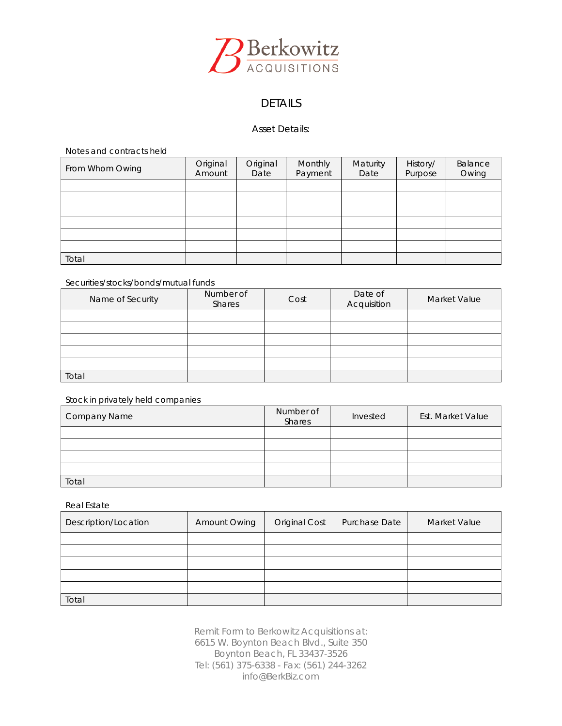

# DETAILS

### Asset Details:

*Notes and contracts held*

| From Whom Owing | Original<br>Amount | Original<br>Date | Monthly<br>Payment | Maturity<br>Date | History/<br>Purpose | Balance<br>Owing |
|-----------------|--------------------|------------------|--------------------|------------------|---------------------|------------------|
|                 |                    |                  |                    |                  |                     |                  |
|                 |                    |                  |                    |                  |                     |                  |
|                 |                    |                  |                    |                  |                     |                  |
|                 |                    |                  |                    |                  |                     |                  |
|                 |                    |                  |                    |                  |                     |                  |
|                 |                    |                  |                    |                  |                     |                  |
| Total           |                    |                  |                    |                  |                     |                  |

### *Securities/stocks/bonds/mutual funds*

| Name of Security | Number of<br>Shares | Cost | Date of<br>Acquisition | Market Value |
|------------------|---------------------|------|------------------------|--------------|
|                  |                     |      |                        |              |
|                  |                     |      |                        |              |
|                  |                     |      |                        |              |
|                  |                     |      |                        |              |
|                  |                     |      |                        |              |
| Total            |                     |      |                        |              |

### *Stock in privately held companies*

| <b>Company Name</b> | Number of<br>Shares | Invested | Est. Market Value |
|---------------------|---------------------|----------|-------------------|
|                     |                     |          |                   |
|                     |                     |          |                   |
|                     |                     |          |                   |
|                     |                     |          |                   |
| Total               |                     |          |                   |

### *Real Estate*

| Description/Location | Amount Owing | <b>Original Cost</b> | Purchase Date | Market Value |
|----------------------|--------------|----------------------|---------------|--------------|
|                      |              |                      |               |              |
|                      |              |                      |               |              |
|                      |              |                      |               |              |
|                      |              |                      |               |              |
|                      |              |                      |               |              |
| Total                |              |                      |               |              |

*Remit Form to Berkowitz Acquisitions at:* 6615 W. Boynton Beach Blvd., Suite 350 Boynton Beach, FL 33437-3526 Tel: (561) 375-6338 - Fax: (561) 244-3262 info@BerkBiz.com